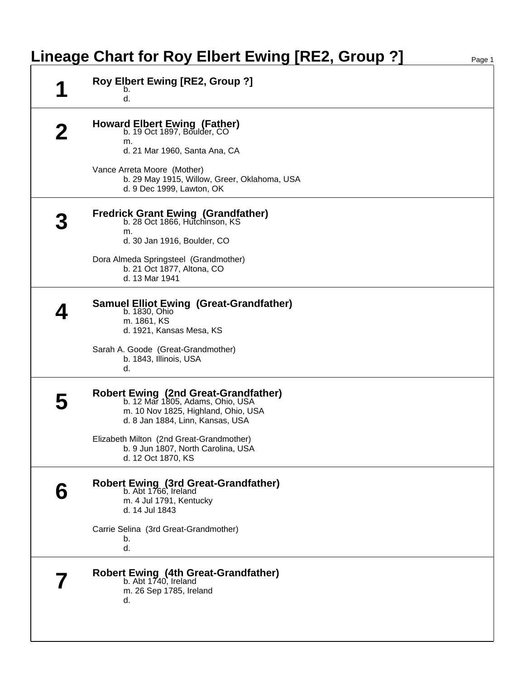## **Lineage Chart for Roy Elbert Ewing [RE2, Group ?]** Page 1

|   | Roy Elbert Ewing [RE2, Group ?]<br>b.<br>d.                                                                                                         |
|---|-----------------------------------------------------------------------------------------------------------------------------------------------------|
|   | Howard Elbert Ewing (Father)<br>b. 19 Oct 1897, Boulder, CO<br>m.<br>d. 21 Mar 1960, Santa Ana, CA                                                  |
|   | Vance Arreta Moore (Mother)<br>b. 29 May 1915, Willow, Greer, Oklahoma, USA<br>d. 9 Dec 1999, Lawton, OK                                            |
|   | Fredrick Grant Ewing (Grandfather)<br>b. 28 Oct 1866, Hutchinson, KS<br>m.<br>d. 30 Jan 1916, Boulder, CO                                           |
|   | Dora Almeda Springsteel (Grandmother)<br>b. 21 Oct 1877, Altona, CO<br>d. 13 Mar 1941                                                               |
|   | <b>Samuel Elliot Ewing (Great-Grandfather)</b><br>b. 1830, Ohio<br>m. 1861, KS<br>d. 1921, Kansas Mesa, KS                                          |
|   | Sarah A. Goode (Great-Grandmother)<br>b. 1843, Illinois, USA<br>d.                                                                                  |
|   | Robert Ewing (2nd Great-Grandfather)<br>b. 12 Mar 1805, Adams, Ohio, USA<br>m. 10 Nov 1825, Highland, Ohio, USA<br>d. 8 Jan 1884, Linn, Kansas, USA |
|   | Elizabeth Milton (2nd Great-Grandmother)<br>b. 9 Jun 1807, North Carolina, USA<br>d. 12 Oct 1870, KS                                                |
| 6 | <b>Robert Ewing (3rd Great-Grandfather)</b><br>b. Abt 1766, Ireland<br>m. 4 Jul 1791, Kentucky<br>d. 14 Jul 1843                                    |
|   | Carrie Selina (3rd Great-Grandmother)<br>b.<br>d.                                                                                                   |
|   | Robert Ewing (4th Great-Grandfather)<br>b. Abt 1740, Ireland<br>m. 26 Sep 1785, Ireland<br>d.                                                       |
|   |                                                                                                                                                     |